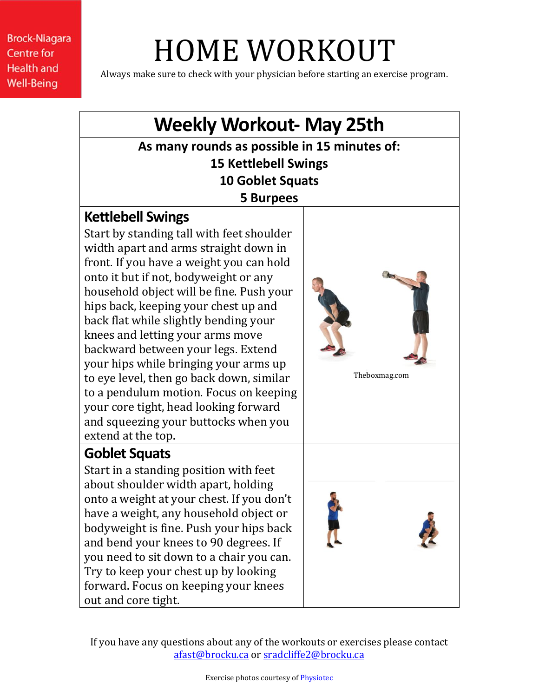# HOME WORKOUT

Always make sure to check with your physician before starting an exercise program.

#### **Weekly Workout- May 25th As many rounds as possible in 15 minutes of: 15 Kettlebell Swings 10 Goblet Squats 5 Burpees Kettlebell Swings** Start by standing tall with feet shoulder width apart and arms straight down in front. If you have a weight you can hold onto it but if not, bodyweight or any household object will be fine. Push your hips back, keeping your chest up and back flat while slightly bending your knees and letting your arms move backward between your legs. Extend your hips while bringing your arms up to eye level, then go back down, similar to a pendulum motion. Focus on keeping your core tight, head looking forward and squeezing your buttocks when you extend at the top. Theboxmag.com **Goblet Squats** Start in a standing position with feet about shoulder width apart, holding onto a weight at your chest. If you don't have a weight, any household object or bodyweight is fine. Push your hips back and bend your knees to 90 degrees. If you need to sit down to a chair you can. Try to keep your chest up by looking forward. Focus on keeping your knees out and core tight.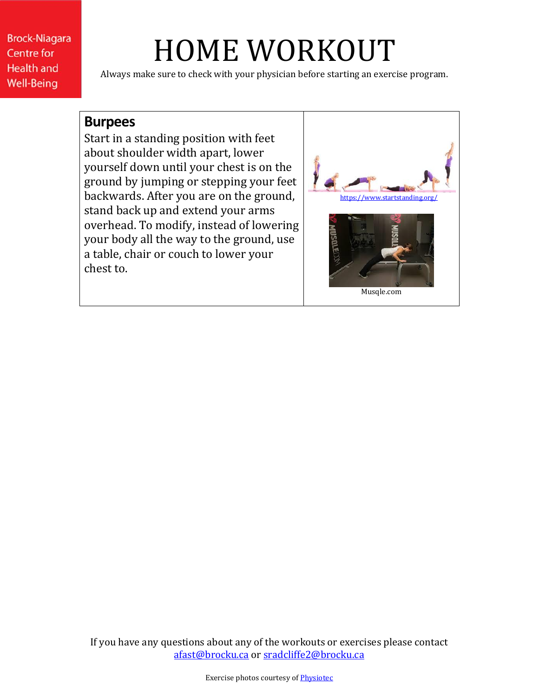# HOME WORKOUT

Always make sure to check with your physician before starting an exercise program.

#### **Burpees**

Start in a standing position with feet about shoulder width apart, lower yourself down until your chest is on the ground by jumping or stepping your feet backwards. After you are on the ground, stand back up and extend your arms overhead. To modify, instead of lowering your body all the way to the ground, use a table, chair or couch to lower your chest to.

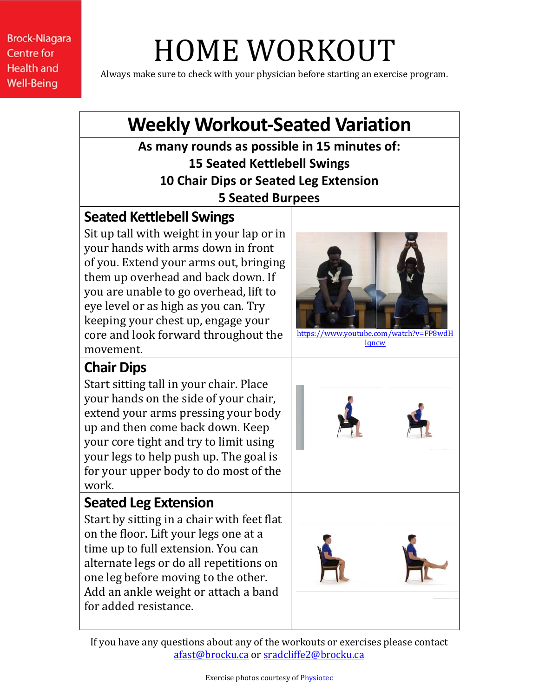# HOME WORKOUT

Always make sure to check with your physician before starting an exercise program.

### **Weekly Workout-Seated Variation**

**As many rounds as possible in 15 minutes of: 15 Seated Kettlebell Swings 10 Chair Dips or Seated Leg Extension 5 Seated Burpees**

#### **Seated Kettlebell Swings**

Sit up tall with weight in your lap or in your hands with arms down in front of you. Extend your arms out, bringing them up overhead and back down. If you are unable to go overhead, lift to eye level or as high as you can. Try keeping your chest up, engage your core and look forward throughout the movement.

### **Chair Dips**

Start sitting tall in your chair. Place your hands on the side of your chair, extend your arms pressing your body up and then come back down. Keep your core tight and try to limit using your legs to help push up. The goal is for your upper body to do most of the work.

### **Seated Leg Extension**

Start by sitting in a chair with feet flat on the floor. Lift your legs one at a time up to full extension. You can alternate legs or do all repetitions on one leg before moving to the other. Add an ankle weight or attach a band for added resistance.



[https://www.youtube.com/watch?v=FP8wdH](https://www.youtube.com/watch?v=FP8wdHlqncw) [lqncw](https://www.youtube.com/watch?v=FP8wdHlqncw)